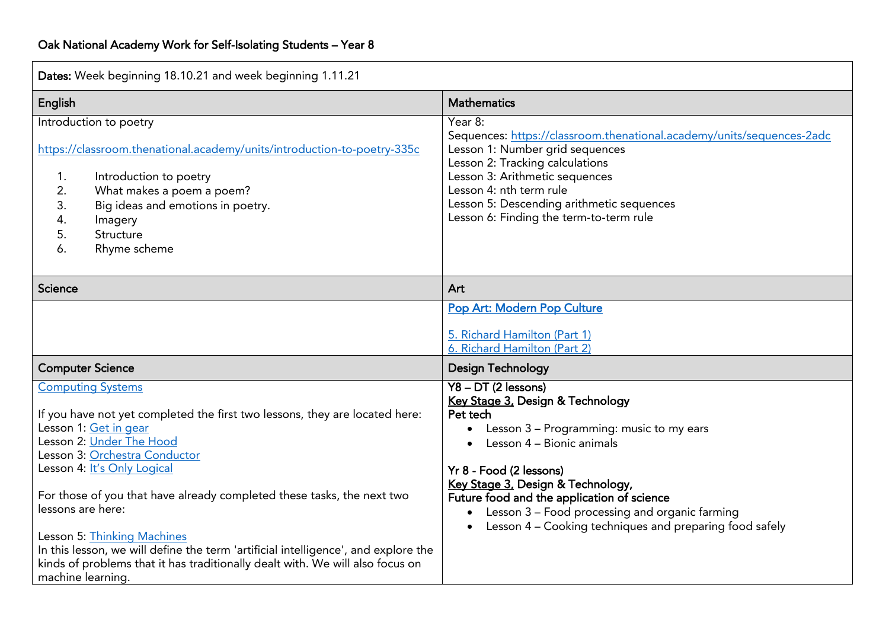| Dates: Week beginning 18.10.21 and week beginning 1.11.21                                                                                                                                                                                                                                                                                                                                                                                                                                                                  |                                                                                                                                                                                                                                                                                                                                                      |  |  |
|----------------------------------------------------------------------------------------------------------------------------------------------------------------------------------------------------------------------------------------------------------------------------------------------------------------------------------------------------------------------------------------------------------------------------------------------------------------------------------------------------------------------------|------------------------------------------------------------------------------------------------------------------------------------------------------------------------------------------------------------------------------------------------------------------------------------------------------------------------------------------------------|--|--|
| English                                                                                                                                                                                                                                                                                                                                                                                                                                                                                                                    | <b>Mathematics</b>                                                                                                                                                                                                                                                                                                                                   |  |  |
| Introduction to poetry<br>https://classroom.thenational.academy/units/introduction-to-poetry-335c<br>1.<br>Introduction to poetry<br>2.<br>What makes a poem a poem?<br>3.<br>Big ideas and emotions in poetry.<br>4.<br>Imagery<br>5.<br>Structure<br>Rhyme scheme<br>6.                                                                                                                                                                                                                                                  | Year 8:<br>Sequences: https://classroom.thenational.academy/units/sequences-2adc<br>Lesson 1: Number grid sequences<br>Lesson 2: Tracking calculations<br>Lesson 3: Arithmetic sequences<br>Lesson 4: nth term rule<br>Lesson 5: Descending arithmetic sequences<br>Lesson 6: Finding the term-to-term rule                                          |  |  |
| <b>Science</b>                                                                                                                                                                                                                                                                                                                                                                                                                                                                                                             | Art                                                                                                                                                                                                                                                                                                                                                  |  |  |
| <b>Computer Science</b>                                                                                                                                                                                                                                                                                                                                                                                                                                                                                                    | Pop Art: Modern Pop Culture<br>5. Richard Hamilton (Part 1)<br>6. Richard Hamilton (Part 2)<br><b>Design Technology</b>                                                                                                                                                                                                                              |  |  |
| <b>Computing Systems</b>                                                                                                                                                                                                                                                                                                                                                                                                                                                                                                   | $Y8 - DT$ (2 lessons)                                                                                                                                                                                                                                                                                                                                |  |  |
| If you have not yet completed the first two lessons, they are located here:<br>Lesson 1: Get in gear<br>Lesson 2: Under The Hood<br>Lesson 3: Orchestra Conductor<br>Lesson 4: It's Only Logical<br>For those of you that have already completed these tasks, the next two<br>lessons are here:<br>Lesson 5: Thinking Machines<br>In this lesson, we will define the term 'artificial intelligence', and explore the<br>kinds of problems that it has traditionally dealt with. We will also focus on<br>machine learning. | Key Stage 3, Design & Technology<br>Pet tech<br>• Lesson 3 - Programming: music to my ears<br>Lesson 4 – Bionic animals<br>Yr 8 - Food (2 lessons)<br>Key Stage 3, Design & Technology,<br>Future food and the application of science<br>• Lesson 3 - Food processing and organic farming<br>Lesson 4 - Cooking techniques and preparing food safely |  |  |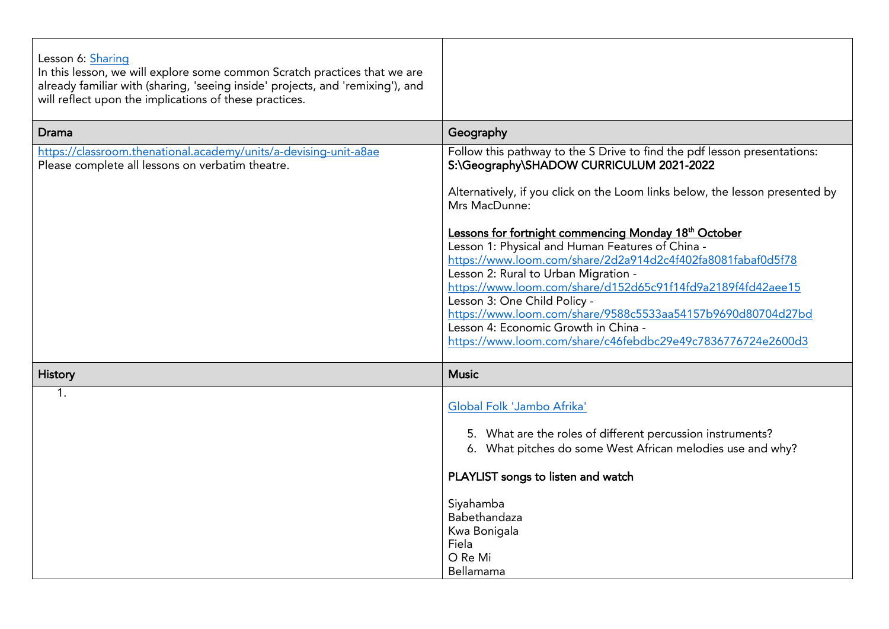| Lesson 6: Sharing<br>In this lesson, we will explore some common Scratch practices that we are<br>already familiar with (sharing, 'seeing inside' projects, and 'remixing'), and<br>will reflect upon the implications of these practices. |                                                                                                                                                                                                                                                                                                                                                                                                                                                                                                                                                                                                                                                                                                               |  |  |
|--------------------------------------------------------------------------------------------------------------------------------------------------------------------------------------------------------------------------------------------|---------------------------------------------------------------------------------------------------------------------------------------------------------------------------------------------------------------------------------------------------------------------------------------------------------------------------------------------------------------------------------------------------------------------------------------------------------------------------------------------------------------------------------------------------------------------------------------------------------------------------------------------------------------------------------------------------------------|--|--|
| <b>Drama</b>                                                                                                                                                                                                                               | Geography                                                                                                                                                                                                                                                                                                                                                                                                                                                                                                                                                                                                                                                                                                     |  |  |
| https://classroom.thenational.academy/units/a-devising-unit-a8ae<br>Please complete all lessons on verbatim theatre.                                                                                                                       | Follow this pathway to the S Drive to find the pdf lesson presentations:<br>S:\Geography\SHADOW CURRICULUM 2021-2022<br>Alternatively, if you click on the Loom links below, the lesson presented by<br>Mrs MacDunne:<br>Lessons for fortnight commencing Monday 18th October<br>Lesson 1: Physical and Human Features of China -<br>https://www.loom.com/share/2d2a914d2c4f402fa8081fabaf0d5f78<br>Lesson 2: Rural to Urban Migration -<br>https://www.loom.com/share/d152d65c91f14fd9a2189f4fd42aee15<br>Lesson 3: One Child Policy -<br>https://www.loom.com/share/9588c5533aa54157b9690d80704d27bd<br>Lesson 4: Economic Growth in China -<br>https://www.loom.com/share/c46febdbc29e49c7836776724e2600d3 |  |  |
| <b>History</b>                                                                                                                                                                                                                             | <b>Music</b>                                                                                                                                                                                                                                                                                                                                                                                                                                                                                                                                                                                                                                                                                                  |  |  |
| 1.                                                                                                                                                                                                                                         | Global Folk 'Jambo Afrika'<br>5. What are the roles of different percussion instruments?<br>6. What pitches do some West African melodies use and why?<br>PLAYLIST songs to listen and watch<br>Siyahamba<br><b>Babethandaza</b><br>Kwa Bonigala<br>Fiela<br>O Re Mi<br>Bellamama                                                                                                                                                                                                                                                                                                                                                                                                                             |  |  |